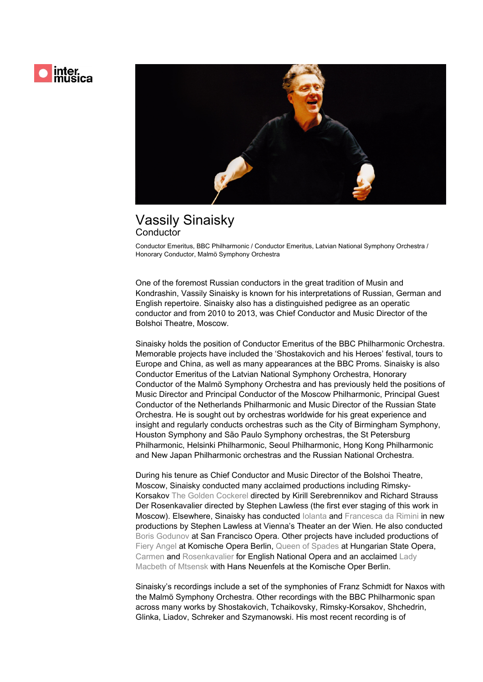

## Vassily Sinaisky **Conductor**

Conductor Emeritus, BBC Philharmonic / Conductor Emeritus, Latvian National Symphony Orchestra / Honorary Conductor, Malmö Symphony Orchestra

One of the foremost Russian conductors in the great tradition of Musin and Kondrashin, Vassily Sinaisky is known for his interpretations of Russian, German and English repertoire. Sinaisky also has a distinguished pedigree as an operatic conductor and from 2010 to 2013, was Chief Conductor and Music Director of the Bolshoi Theatre, Moscow.

Sinaisky holds the position of Conductor Emeritus of the BBC Philharmonic Orchestra. Memorable projects have included the 'Shostakovich and his Heroes' festival, tours to Europe and China, as well as many appearances at the BBC Proms. Sinaisky is also Conductor Emeritus of the Latvian National Symphony Orchestra, Honorary Conductor of the Malmö Symphony Orchestra and has previously held the positions of Music Director and Principal Conductor of the Moscow Philharmonic, Principal Guest Conductor of the Netherlands Philharmonic and Music Director of the Russian State Orchestra. He is sought out by orchestras worldwide for his great experience and insight and regularly conducts orchestras such as the City of Birmingham Symphony, Houston Symphony and São Paulo Symphony orchestras, the St Petersburg Philharmonic, Helsinki Philharmonic, Seoul Philharmonic, Hong Kong Philharmonic and New Japan Philharmonic orchestras and the Russian National Orchestra.

During his tenure as Chief Conductor and Music Director of the Bolshoi Theatre, Moscow, Sinaisky conducted many acclaimed productions including Rimsky-Korsakov *The Golden Cockerel* directed by Kirill Serebrennikov and Richard Strauss Der Rosenkavalier directed by Stephen Lawless (the first ever staging of this work in Moscow). Elsewhere, Sinaisky has conducted *Iolanta* and *Francesca da Rimini* in new productions by Stephen Lawless at Vienna's Theater an der Wien. He also conducted *Boris Godunov* at San Francisco Opera. Other projects have included productions of *Fiery Angel* at Komische Opera Berlin, *Queen of Spades* at Hungarian State Opera, *Carmen* and *Rosenkavalier* for English National Opera and an acclaimed *Lady Macbeth of Mtsensk* with Hans Neuenfels at the Komische Oper Berlin.

Sinaisky's recordings include a set of the symphonies of Franz Schmidt for Naxos with the Malmö Symphony Orchestra. Other recordings with the BBC Philharmonic span across many works by Shostakovich, Tchaikovsky, Rimsky-Korsakov, Shchedrin, Glinka, Liadov, Schreker and Szymanowski. His most recent recording is of